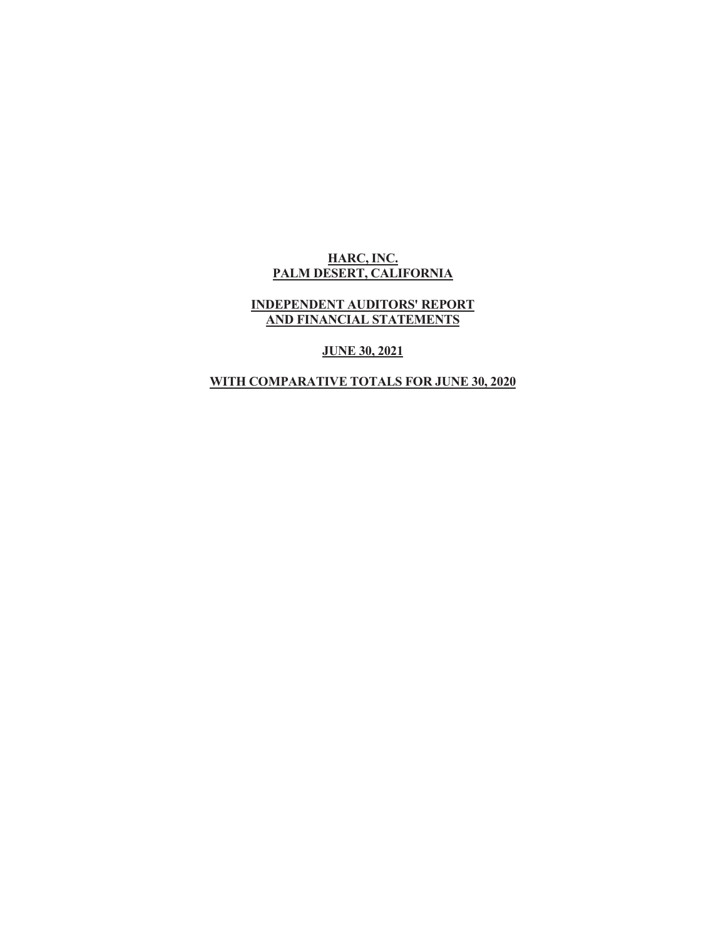#### **HARC, INC. PALM DESERT, CALIFORNIA**

#### **INDEPENDENT AUDITORS' REPORT AND FINANCIAL STATEMENTS**

**JUNE 30, 2021** 

# **WITH COMPARATIVE TOTALS FOR JUNE 30, 2020**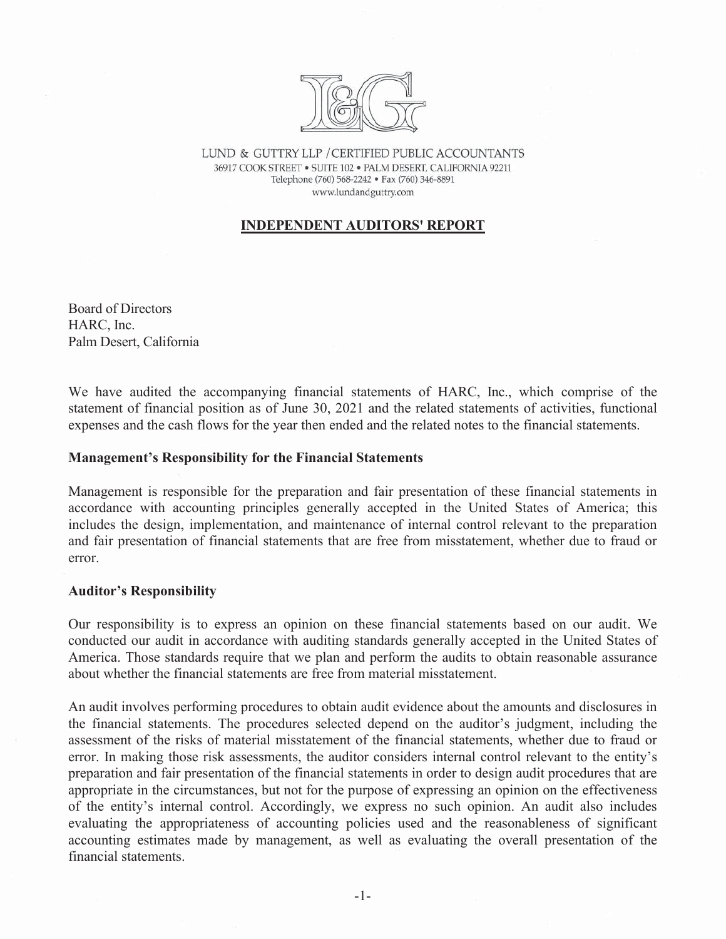

LUND & GUTTRY LLP / CERTIFIED PUBLIC ACCOUNTANTS 36917 COOK STREET . SUITE 102 . PALM DESERT, CALIFORNIA 92211 Telephone (760) 568-2242 · Fax (760) 346-8891 www.lundandguttry.com

#### **INDEPENDENT AUDITORS' REPORT**

Board of Directors HARC, Inc. Palm Desert, California

We have audited the accompanying financial statements of HARC, Inc., which comprise of the statement of financial position as of June 30, 2021 and the related statements of activities, functional expenses and the cash flows for the year then ended and the related notes to the financial statements.

#### **Management's Responsibility for the Financial Statements**

Management is responsible for the preparation and fair presentation of these financial statements in accordance with accounting principles generally accepted in the United States of America; this includes the design, implementation, and maintenance of internal control relevant to the preparation and fair presentation of financial statements that are free from misstatement, whether due to fraud or error.

#### **Auditor's Responsibility**

Our responsibility is to express an opinion on these financial statements based on our audit. We conducted our audit in accordance with auditing standards generally accepted in the United States of America. Those standards require that we plan and perform the audits to obtain reasonable assurance about whether the financial statements are free from material misstatement.

An audit involves performing procedures to obtain audit evidence about the amounts and disclosures in the financial statements. The procedures selected depend on the auditor's judgment, including the assessment of the risks of material misstatement of the financial statements, whether due to fraud or error. In making those risk assessments, the auditor considers internal control relevant to the entity's preparation and fair presentation of the financial statements in order to design audit procedures that are appropriate in the circumstances, but not for the purpose of expressing an opinion on the effectiveness of the entity's internal control. Accordingly, we express no such opinion. An audit also includes evaluating the appropriateness of accounting policies used and the reasonableness of significant accounting estimates made by management, as well as evaluating the overall presentation of the financial statements.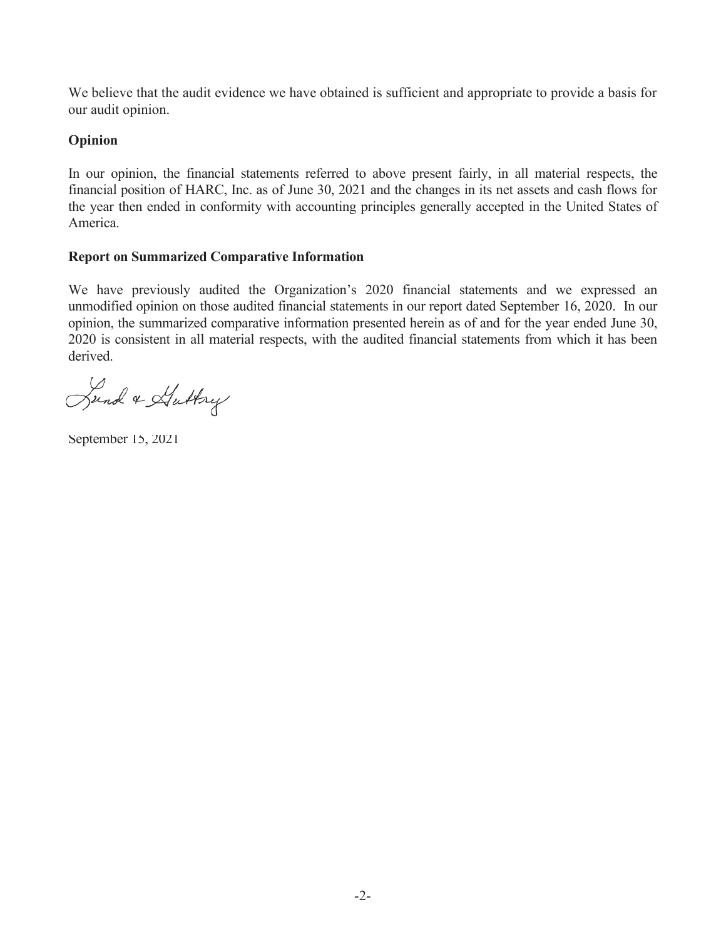We believe that the audit evidence we have obtained is sufficient and appropriate to provide a basis for our audit opinion.

# **Opinion**

In our opinion, the financial statements referred to above present fairly, in all material respects, the financial position of HARC, Inc. as of June 30, 2021 and the changes in its net assets and cash flows for the year then ended in conformity with accounting principles generally accepted in the United States of America.

# **Report on Summarized Comparative Information**

We have previously audited the Organization's 2020 financial statements and we expressed an unmodified opinion on those audited financial statements in our report dated September 16, 2020. In our opinion, the summarized comparative information presented herein as of and for the year ended June 30, 2020 is consistent in all material respects, with the audited financial statements from which it has been derived.

Sund & Huttry

September 15, 2021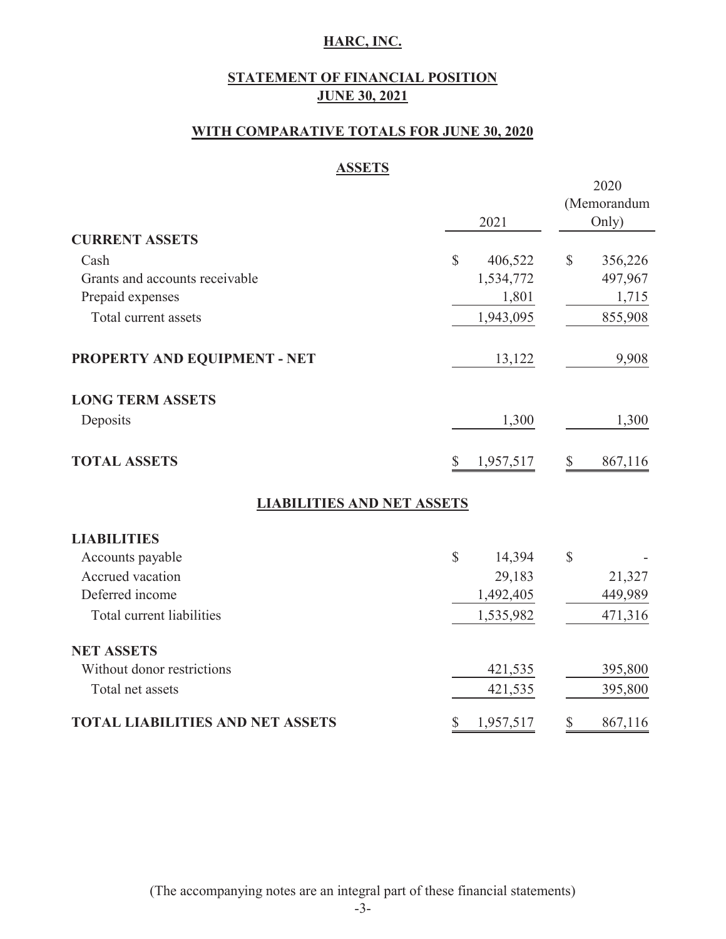# **STATEMENT OF FINANCIAL POSITION JUNE 30, 2021**

## **WITH COMPARATIVE TOTALS FOR JUNE 30, 2020**

### **ASSETS**

|                                         |                         | 2020                    |
|-----------------------------------------|-------------------------|-------------------------|
|                                         |                         | (Memorandum             |
|                                         | 2021                    | Only)                   |
| <b>CURRENT ASSETS</b>                   |                         |                         |
| Cash                                    | $\mathbb{S}$<br>406,522 | $\mathbb{S}$<br>356,226 |
| Grants and accounts receivable          | 1,534,772               | 497,967                 |
| Prepaid expenses                        | 1,801                   | 1,715                   |
| Total current assets                    | 1,943,095               | 855,908                 |
| PROPERTY AND EQUIPMENT - NET            | 13,122                  | 9,908                   |
| <b>LONG TERM ASSETS</b>                 |                         |                         |
| Deposits                                | 1,300                   | 1,300                   |
| <b>TOTAL ASSETS</b>                     | 1,957,517<br>\$         | 867,116<br>\$           |
| <b>LIABILITIES AND NET ASSETS</b>       |                         |                         |
| <b>LIABILITIES</b>                      |                         |                         |
| Accounts payable                        | $\mathbb{S}$<br>14,394  | $\mathbb{S}$            |
| Accrued vacation                        | 29,183                  | 21,327                  |
| Deferred income                         | 1,492,405               | 449,989                 |
| Total current liabilities               | 1,535,982               | 471,316                 |
| <b>NET ASSETS</b>                       |                         |                         |
| Without donor restrictions              | 421,535                 | 395,800                 |
| Total net assets                        | 421,535                 | 395,800                 |
| <b>TOTAL LIABILITIES AND NET ASSETS</b> | \$<br>1,957,517         | \$<br>867,116           |

(The accompanying notes are an integral part of these financial statements)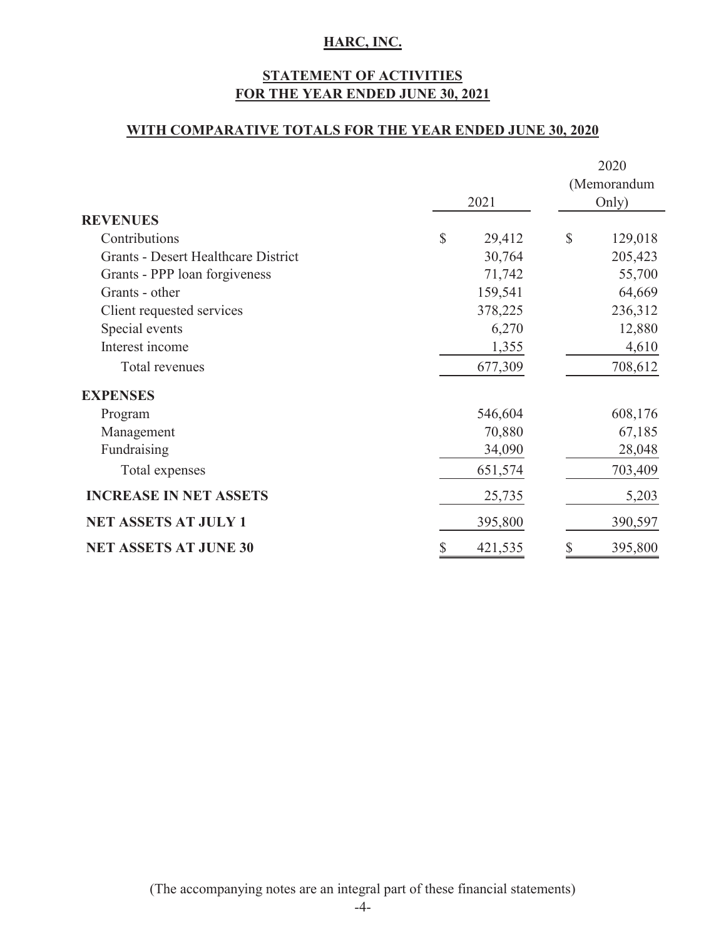# **STATEMENT OF ACTIVITIES FOR THE YEAR ENDED JUNE 30, 2021**

### **WITH COMPARATIVE TOTALS FOR THE YEAR ENDED JUNE 30, 2020**

|                                            |               | (Memorandum              |  |  |
|--------------------------------------------|---------------|--------------------------|--|--|
|                                            | 2021          | Only)                    |  |  |
| <b>REVENUES</b>                            |               |                          |  |  |
| Contributions                              | \$<br>29,412  | $\mathcal{S}$<br>129,018 |  |  |
| <b>Grants - Desert Healthcare District</b> | 30,764        | 205,423                  |  |  |
| Grants - PPP loan forgiveness              | 71,742        | 55,700                   |  |  |
| Grants - other                             | 159,541       | 64,669                   |  |  |
| Client requested services                  | 378,225       | 236,312                  |  |  |
| Special events                             | 6,270         | 12,880                   |  |  |
| Interest income                            | 1,355         | 4,610                    |  |  |
| Total revenues                             | 677,309       | 708,612                  |  |  |
| <b>EXPENSES</b>                            |               |                          |  |  |
| Program                                    | 546,604       | 608,176                  |  |  |
| Management                                 | 70,880        | 67,185                   |  |  |
| Fundraising                                | 34,090        | 28,048                   |  |  |
| Total expenses                             | 651,574       | 703,409                  |  |  |
| <b>INCREASE IN NET ASSETS</b>              | 25,735        | 5,203                    |  |  |
| <b>NET ASSETS AT JULY 1</b>                | 395,800       | 390,597                  |  |  |
| <b>NET ASSETS AT JUNE 30</b>               | \$<br>421,535 | 395,800                  |  |  |

(The accompanying notes are an integral part of these financial statements)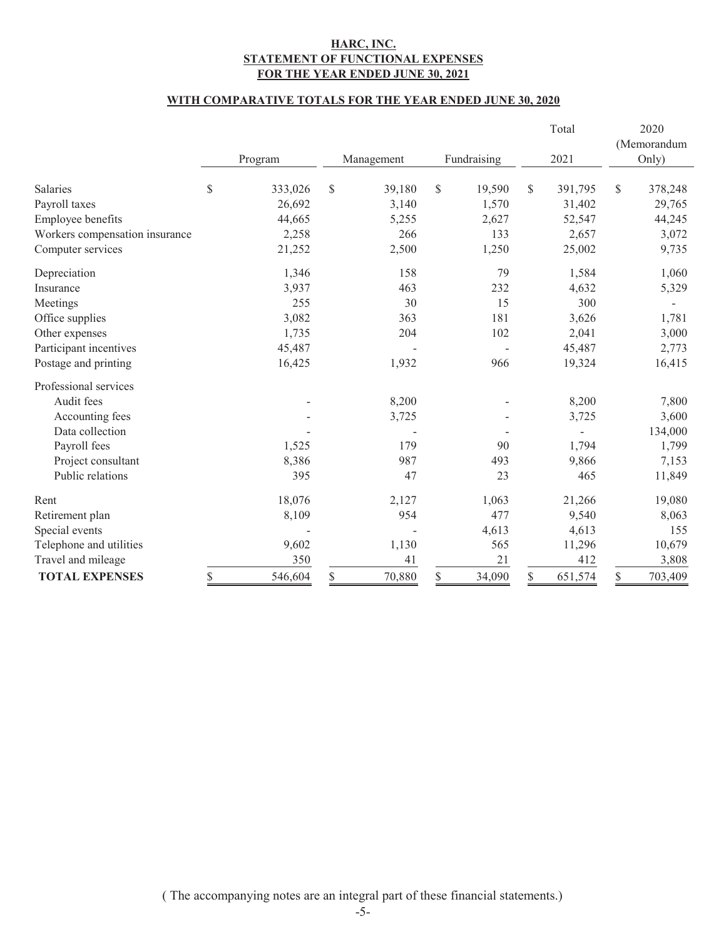#### **HARC, INC. STATEMENT OF FUNCTIONAL EXPENSES FOR THE YEAR ENDED JUNE 30, 2021**

#### **WITH COMPARATIVE TOTALS FOR THE YEAR ENDED JUNE 30, 2020**

|                                |               |              |              | Total         |               | 2020        |
|--------------------------------|---------------|--------------|--------------|---------------|---------------|-------------|
|                                |               |              |              |               |               | (Memorandum |
|                                | Program       | Management   | Fundraising  | 2021          |               | Only)       |
| <b>Salaries</b>                | \$<br>333,026 | \$<br>39,180 | \$<br>19,590 | \$<br>391,795 | $\mathcal{S}$ | 378,248     |
| Payroll taxes                  | 26,692        | 3,140        | 1,570        | 31,402        |               | 29,765      |
| Employee benefits              | 44,665        | 5,255        | 2,627        | 52,547        |               | 44,245      |
| Workers compensation insurance | 2,258         | 266          | 133          | 2,657         |               | 3,072       |
| Computer services              | 21,252        | 2,500        | 1,250        | 25,002        |               | 9,735       |
| Depreciation                   | 1,346         | 158          | 79           | 1,584         |               | 1,060       |
| Insurance                      | 3,937         | 463          | 232          | 4,632         |               | 5,329       |
| Meetings                       | 255           | 30           | 15           | 300           |               |             |
| Office supplies                | 3,082         | 363          | 181          | 3,626         |               | 1,781       |
| Other expenses                 | 1,735         | 204          | 102          | 2,041         |               | 3,000       |
| Participant incentives         | 45,487        |              |              | 45,487        |               | 2,773       |
| Postage and printing           | 16,425        | 1,932        | 966          | 19,324        |               | 16,415      |
| Professional services          |               |              |              |               |               |             |
| Audit fees                     |               | 8,200        |              | 8,200         |               | 7,800       |
| Accounting fees                |               | 3,725        |              | 3,725         |               | 3,600       |
| Data collection                |               |              |              |               |               | 134,000     |
| Payroll fees                   | 1,525         | 179          | 90           | 1,794         |               | 1,799       |
| Project consultant             | 8,386         | 987          | 493          | 9,866         |               | 7,153       |
| Public relations               | 395           | 47           | 23           | 465           |               | 11,849      |
| Rent                           | 18,076        | 2,127        | 1,063        | 21,266        |               | 19,080      |
| Retirement plan                | 8,109         | 954          | 477          | 9,540         |               | 8,063       |
| Special events                 |               |              | 4,613        | 4,613         |               | 155         |
| Telephone and utilities        | 9,602         | 1,130        | 565          | 11,296        |               | 10,679      |
| Travel and mileage             | 350           | 41           | 21           | 412           |               | 3,808       |
| <b>TOTAL EXPENSES</b>          | \$<br>546,604 | \$<br>70,880 | \$<br>34,090 | \$<br>651,574 | \$            | 703,409     |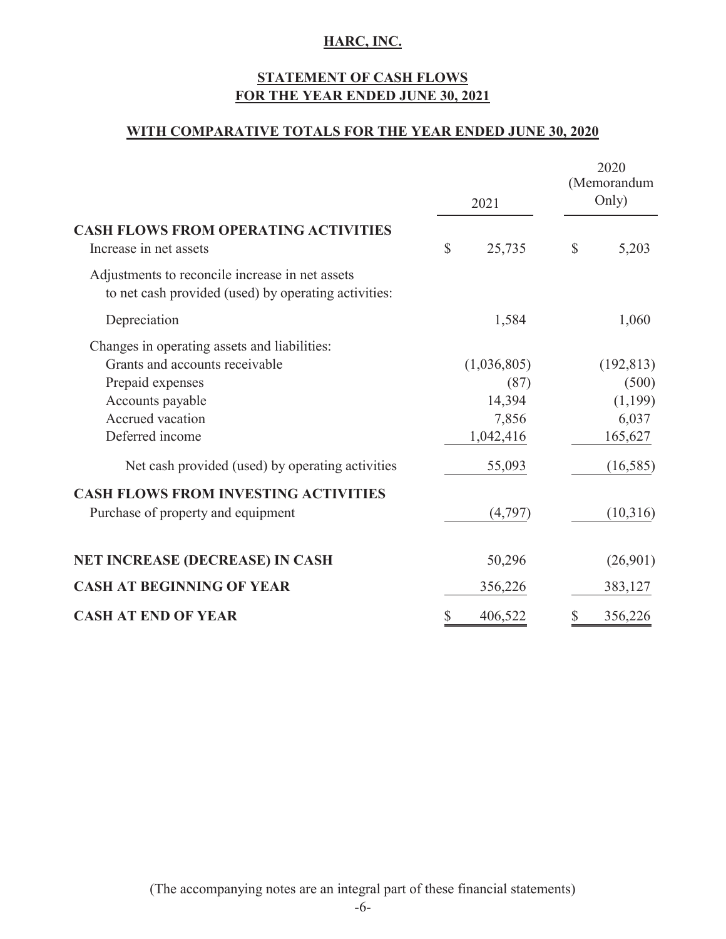# **FOR THE YEAR ENDED JUNE 30, 2021 STATEMENT OF CASH FLOWS**

### **WITH COMPARATIVE TOTALS FOR THE YEAR ENDED JUNE 30, 2020**

|                                                                                                                                                                                                                                                                  | 2021                                                          | 2020<br>(Memorandum<br>Only) |                                                                |  |
|------------------------------------------------------------------------------------------------------------------------------------------------------------------------------------------------------------------------------------------------------------------|---------------------------------------------------------------|------------------------------|----------------------------------------------------------------|--|
| <b>CASH FLOWS FROM OPERATING ACTIVITIES</b><br>Increase in net assets                                                                                                                                                                                            | \$<br>25,735                                                  | $\mathbb{S}$                 | 5,203                                                          |  |
| Adjustments to reconcile increase in net assets<br>to net cash provided (used) by operating activities:                                                                                                                                                          |                                                               |                              |                                                                |  |
| Depreciation                                                                                                                                                                                                                                                     | 1,584                                                         |                              | 1,060                                                          |  |
| Changes in operating assets and liabilities:<br>Grants and accounts receivable<br>Prepaid expenses<br>Accounts payable<br>Accrued vacation<br>Deferred income<br>Net cash provided (used) by operating activities<br><b>CASH FLOWS FROM INVESTING ACTIVITIES</b> | (1,036,805)<br>(87)<br>14,394<br>7,856<br>1,042,416<br>55,093 |                              | (192, 813)<br>(500)<br>(1,199)<br>6,037<br>165,627<br>(16,585) |  |
| Purchase of property and equipment                                                                                                                                                                                                                               | (4,797)                                                       |                              | (10,316)                                                       |  |
| <b>NET INCREASE (DECREASE) IN CASH</b>                                                                                                                                                                                                                           | 50,296                                                        |                              | (26,901)                                                       |  |
| <b>CASH AT BEGINNING OF YEAR</b>                                                                                                                                                                                                                                 | 356,226                                                       |                              | 383,127                                                        |  |
| <b>CASH AT END OF YEAR</b>                                                                                                                                                                                                                                       | 406,522                                                       | \$                           | 356,226                                                        |  |

(The accompanying notes are an integral part of these financial statements)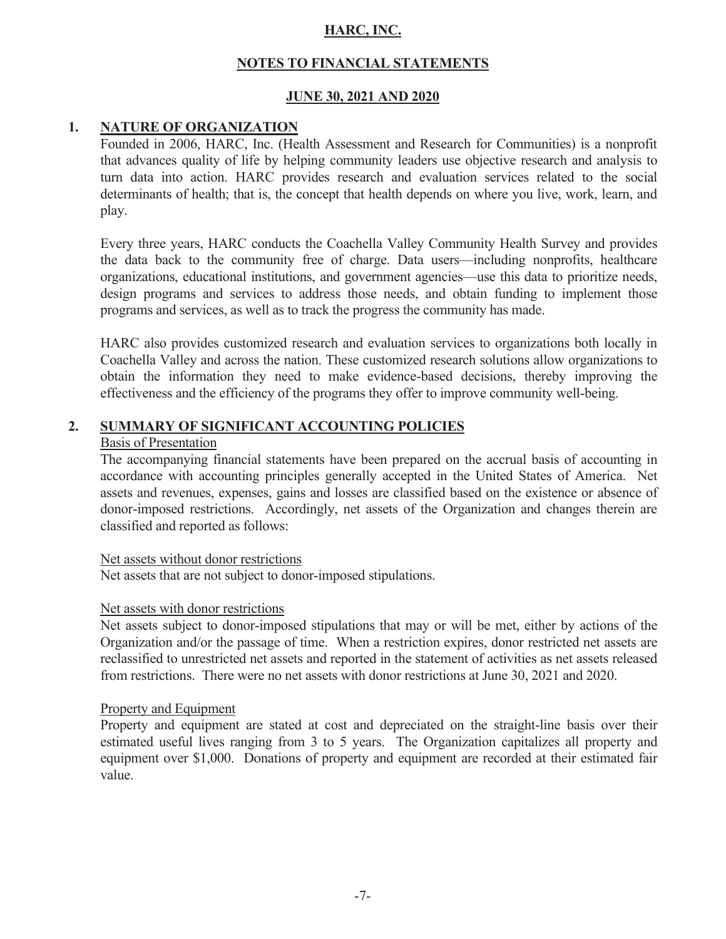# **NOTES TO FINANCIAL STATEMENTS**

# **JUNE 30, 2021 AND 2020**

# **1. NATURE OF ORGANIZATION**

Founded in 2006, HARC, Inc. (Health Assessment and Research for Communities) is a nonprofit that advances quality of life by helping community leaders use objective research and analysis to turn data into action. HARC provides research and evaluation services related to the social determinants of health; that is, the concept that health depends on where you live, work, learn, and play.

Every three years, HARC conducts the Coachella Valley Community Health Survey and provides the data back to the community free of charge. Data users—including nonprofits, healthcare organizations, educational institutions, and government agencies—use this data to prioritize needs, design programs and services to address those needs, and obtain funding to implement those programs and services, as well as to track the progress the community has made.

HARC also provides customized research and evaluation services to organizations both locally in Coachella Valley and across the nation. These customized research solutions allow organizations to obtain the information they need to make evidence-based decisions, thereby improving the effectiveness and the efficiency of the programs they offer to improve community well-being.

# **2. SUMMARY OF SIGNIFICANT ACCOUNTING POLICIES**

#### Basis of Presentation

The accompanying financial statements have been prepared on the accrual basis of accounting in accordance with accounting principles generally accepted in the United States of America. Net assets and revenues, expenses, gains and losses are classified based on the existence or absence of donor-imposed restrictions. Accordingly, net assets of the Organization and changes therein are classified and reported as follows:

#### Net assets without donor restrictions

Net assets that are not subject to donor-imposed stipulations.

#### Net assets with donor restrictions

Net assets subject to donor-imposed stipulations that may or will be met, either by actions of the Organization and/or the passage of time. When a restriction expires, donor restricted net assets are reclassified to unrestricted net assets and reported in the statement of activities as net assets released from restrictions. There were no net assets with donor restrictions at June 30, 2021 and 2020.

#### Property and Equipment

 Property and equipment are stated at cost and depreciated on the straight-line basis over their estimated useful lives ranging from 3 to 5 years. The Organization capitalizes all property and equipment over \$1,000. Donations of property and equipment are recorded at their estimated fair value.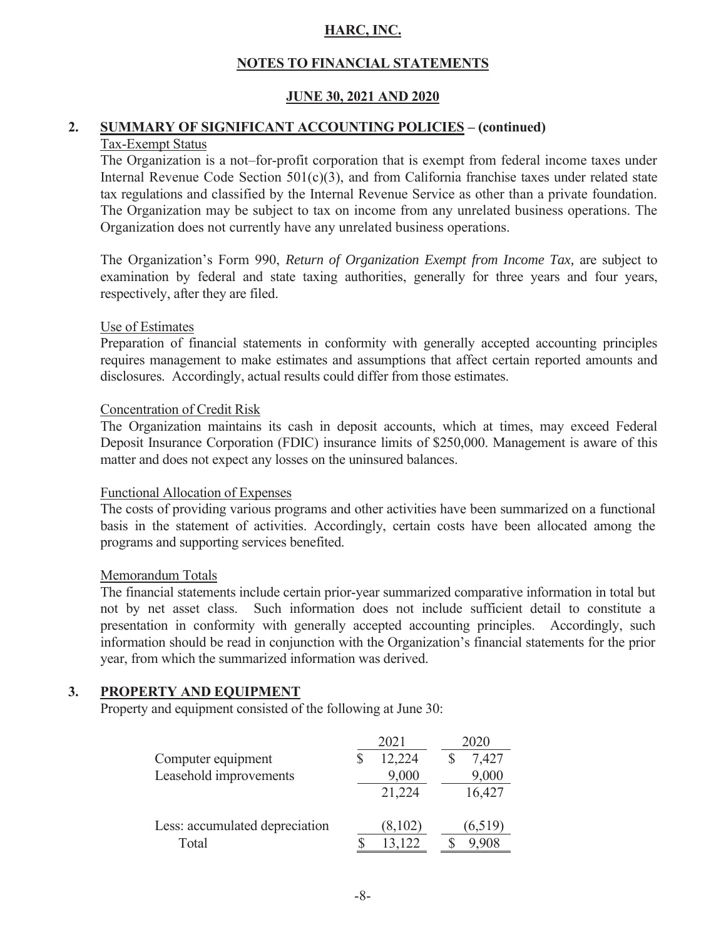# **NOTES TO FINANCIAL STATEMENTS**

# **JUNE 30, 2021 AND 2020**

# **2. SUMMARY OF SIGNIFICANT ACCOUNTING POLICIES – (continued)**

# Tax-Exempt Status

The Organization is a not–for-profit corporation that is exempt from federal income taxes under Internal Revenue Code Section 501(c)(3), and from California franchise taxes under related state tax regulations and classified by the Internal Revenue Service as other than a private foundation. The Organization may be subject to tax on income from any unrelated business operations. The Organization does not currently have any unrelated business operations.

 The Organization's Form 990, *Return of Organization Exempt from Income Tax,* are subject to examination by federal and state taxing authorities, generally for three years and four years, respectively, after they are filed.

#### Use of Estimates

Preparation of financial statements in conformity with generally accepted accounting principles requires management to make estimates and assumptions that affect certain reported amounts and disclosures. Accordingly, actual results could differ from those estimates.

### Concentration of Credit Risk

The Organization maintains its cash in deposit accounts, which at times, may exceed Federal Deposit Insurance Corporation (FDIC) insurance limits of \$250,000. Management is aware of this matter and does not expect any losses on the uninsured balances.

#### Functional Allocation of Expenses

The costs of providing various programs and other activities have been summarized on a functional basis in the statement of activities. Accordingly, certain costs have been allocated among the programs and supporting services benefited.

#### Memorandum Totals

The financial statements include certain prior-year summarized comparative information in total but not by net asset class. Such information does not include sufficient detail to constitute a presentation in conformity with generally accepted accounting principles. Accordingly, such information should be read in conjunction with the Organization's financial statements for the prior year, from which the summarized information was derived.

# **3. PROPERTY AND EQUIPMENT**

Property and equipment consisted of the following at June 30:

|                                | 2021 |         | 2020    |
|--------------------------------|------|---------|---------|
| Computer equipment             |      | 12,224  | 7,427   |
| Leasehold improvements         |      | 9,000   | 9,000   |
|                                |      | 21,224  | 16,427  |
| Less: accumulated depreciation |      | (8,102) | (6,519) |
| Total                          |      | 13,122  | .908    |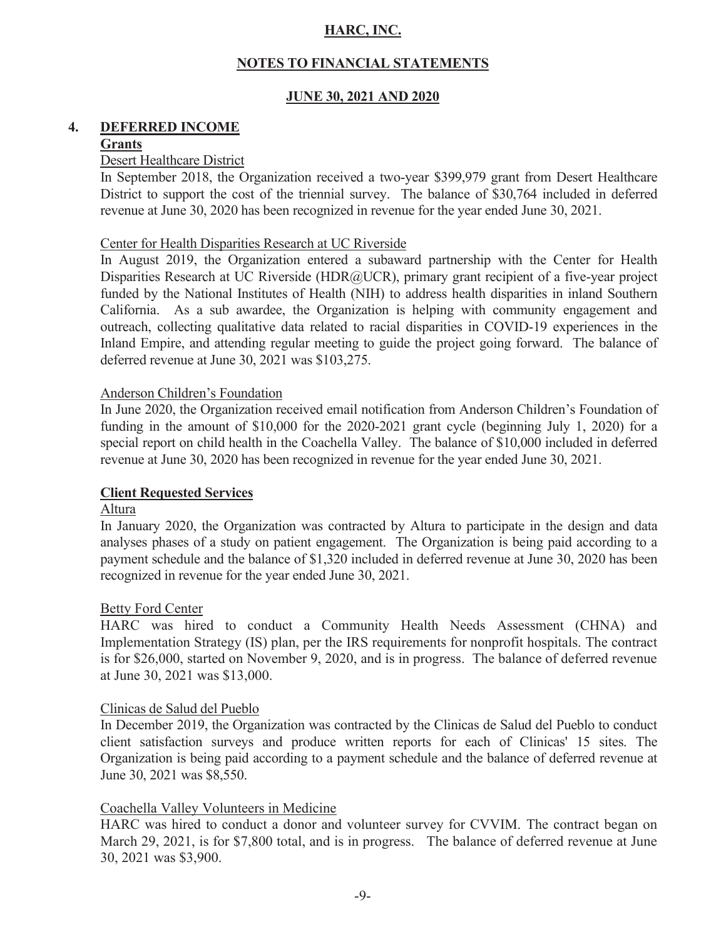# **NOTES TO FINANCIAL STATEMENTS**

# **JUNE 30, 2021 AND 2020**

# **4. DEFERRED INCOME**

#### **Grants**

#### Desert Healthcare District

 In September 2018, the Organization received a two-year \$399,979 grant from Desert Healthcare District to support the cost of the triennial survey. The balance of \$30,764 included in deferred revenue at June 30, 2020 has been recognized in revenue for the year ended June 30, 2021.

#### Center for Health Disparities Research at UC Riverside

 In August 2019, the Organization entered a subaward partnership with the Center for Health Disparities Research at UC Riverside (HDR@UCR), primary grant recipient of a five-year project funded by the National Institutes of Health (NIH) to address health disparities in inland Southern California. As a sub awardee, the Organization is helping with community engagement and outreach, collecting qualitative data related to racial disparities in COVID-19 experiences in the Inland Empire, and attending regular meeting to guide the project going forward. The balance of deferred revenue at June 30, 2021 was \$103,275.

#### Anderson Children's Foundation

 In June 2020, the Organization received email notification from Anderson Children's Foundation of funding in the amount of \$10,000 for the 2020-2021 grant cycle (beginning July 1, 2020) for a special report on child health in the Coachella Valley. The balance of \$10,000 included in deferred revenue at June 30, 2020 has been recognized in revenue for the year ended June 30, 2021.

#### **Client Requested Services**

#### Altura

 In January 2020, the Organization was contracted by Altura to participate in the design and data analyses phases of a study on patient engagement. The Organization is being paid according to a payment schedule and the balance of \$1,320 included in deferred revenue at June 30, 2020 has been recognized in revenue for the year ended June 30, 2021.

#### Betty Ford Center

 HARC was hired to conduct a Community Health Needs Assessment (CHNA) and Implementation Strategy (IS) plan, per the IRS requirements for nonprofit hospitals. The contract is for \$26,000, started on November 9, 2020, and is in progress. The balance of deferred revenue at June 30, 2021 was \$13,000.

#### Clinicas de Salud del Pueblo

 In December 2019, the Organization was contracted by the Clinicas de Salud del Pueblo to conduct client satisfaction surveys and produce written reports for each of Clinicas' 15 sites. The Organization is being paid according to a payment schedule and the balance of deferred revenue at June 30, 2021 was \$8,550.

#### Coachella Valley Volunteers in Medicine

HARC was hired to conduct a donor and volunteer survey for CVVIM. The contract began on March 29, 2021, is for \$7,800 total, and is in progress. The balance of deferred revenue at June 30, 2021 was \$3,900.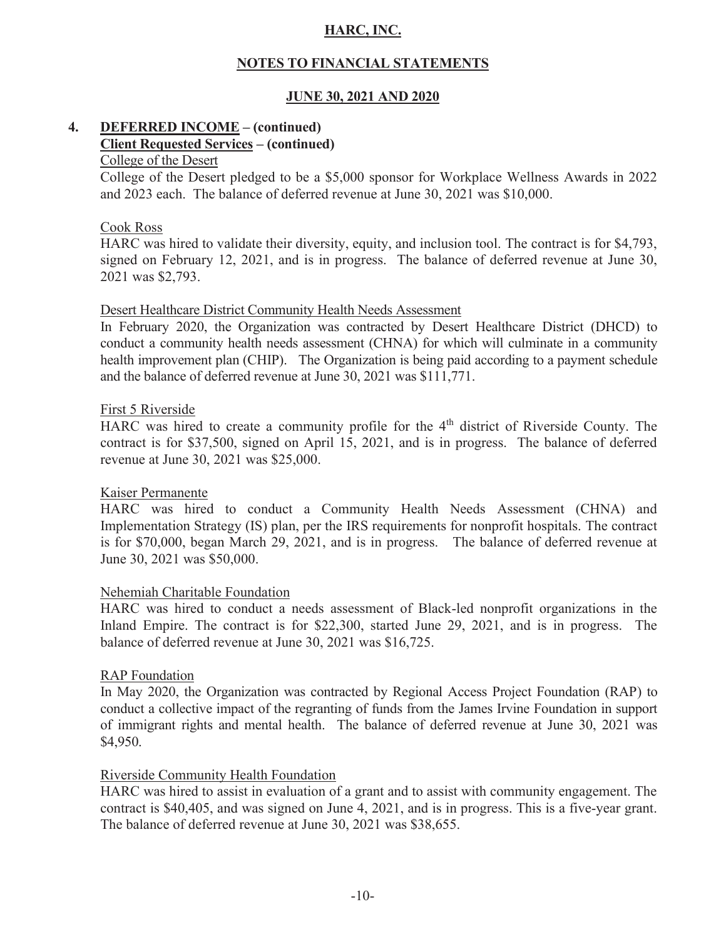# **NOTES TO FINANCIAL STATEMENTS**

# **JUNE 30, 2021 AND 2020**

# **4. DEFERRED INCOME – (continued) Client Requested Services – (continued)**

# College of the Desert

College of the Desert pledged to be a \$5,000 sponsor for Workplace Wellness Awards in 2022 and 2023 each. The balance of deferred revenue at June 30, 2021 was \$10,000.

#### Cook Ross

HARC was hired to validate their diversity, equity, and inclusion tool. The contract is for \$4,793, signed on February 12, 2021, and is in progress. The balance of deferred revenue at June 30, 2021 was \$2,793.

#### Desert Healthcare District Community Health Needs Assessment

 In February 2020, the Organization was contracted by Desert Healthcare District (DHCD) to conduct a community health needs assessment (CHNA) for which will culminate in a community health improvement plan (CHIP). The Organization is being paid according to a payment schedule and the balance of deferred revenue at June 30, 2021 was \$111,771.

#### First 5 Riverside

HARC was hired to create a community profile for the 4<sup>th</sup> district of Riverside County. The contract is for \$37,500, signed on April 15, 2021, and is in progress. The balance of deferred revenue at June 30, 2021 was \$25,000.

#### Kaiser Permanente

HARC was hired to conduct a Community Health Needs Assessment (CHNA) and Implementation Strategy (IS) plan, per the IRS requirements for nonprofit hospitals. The contract is for \$70,000, began March 29, 2021, and is in progress. The balance of deferred revenue at June 30, 2021 was \$50,000.

#### Nehemiah Charitable Foundation

HARC was hired to conduct a needs assessment of Black-led nonprofit organizations in the Inland Empire. The contract is for \$22,300, started June 29, 2021, and is in progress. The balance of deferred revenue at June 30, 2021 was \$16,725.

#### RAP Foundation

 In May 2020, the Organization was contracted by Regional Access Project Foundation (RAP) to conduct a collective impact of the regranting of funds from the James Irvine Foundation in support of immigrant rights and mental health. The balance of deferred revenue at June 30, 2021 was \$4,950.

#### Riverside Community Health Foundation

HARC was hired to assist in evaluation of a grant and to assist with community engagement. The contract is \$40,405, and was signed on June 4, 2021, and is in progress. This is a five-year grant. The balance of deferred revenue at June 30, 2021 was \$38,655.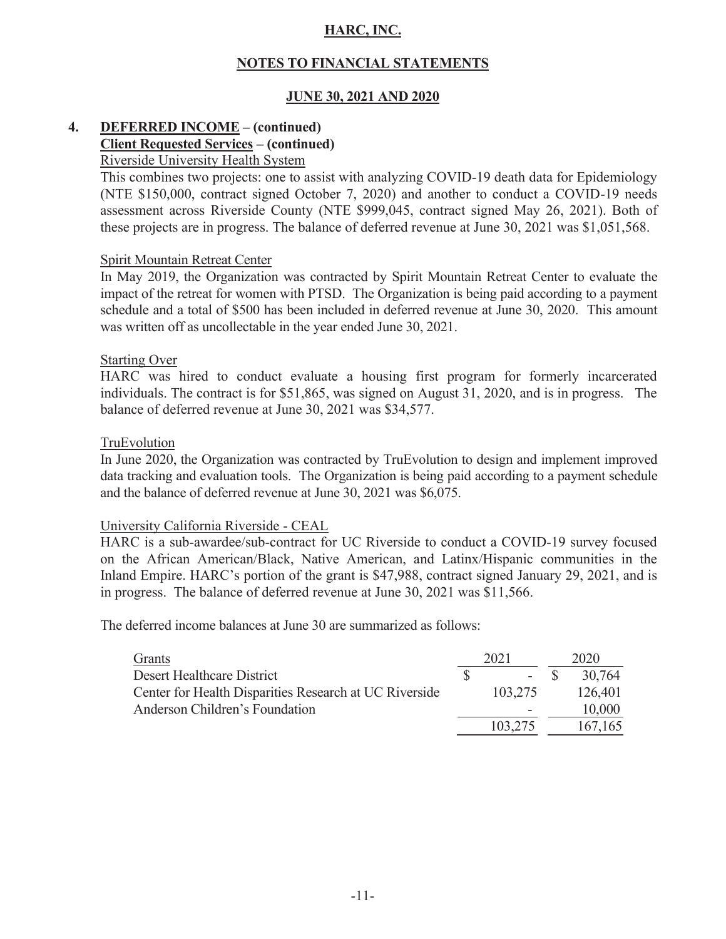# **NOTES TO FINANCIAL STATEMENTS**

# **JUNE 30, 2021 AND 2020**

#### **4. DEFERRED INCOME – (continued) Client Requested Services – (continued)**  Riverside University Health System

This combines two projects: one to assist with analyzing COVID-19 death data for Epidemiology (NTE \$150,000, contract signed October 7, 2020) and another to conduct a COVID-19 needs assessment across Riverside County (NTE \$999,045, contract signed May 26, 2021). Both of these projects are in progress. The balance of deferred revenue at June 30, 2021 was \$1,051,568.

#### Spirit Mountain Retreat Center

 In May 2019, the Organization was contracted by Spirit Mountain Retreat Center to evaluate the impact of the retreat for women with PTSD. The Organization is being paid according to a payment schedule and a total of \$500 has been included in deferred revenue at June 30, 2020. This amount was written off as uncollectable in the year ended June 30, 2021.

#### Starting Over

HARC was hired to conduct evaluate a housing first program for formerly incarcerated individuals. The contract is for \$51,865, was signed on August 31, 2020, and is in progress. The balance of deferred revenue at June 30, 2021 was \$34,577.

#### TruEvolution

 In June 2020, the Organization was contracted by TruEvolution to design and implement improved data tracking and evaluation tools. The Organization is being paid according to a payment schedule and the balance of deferred revenue at June 30, 2021 was \$6,075.

#### University California Riverside - CEAL

HARC is a sub-awardee/sub-contract for UC Riverside to conduct a COVID-19 survey focused on the African American/Black, Native American, and Latinx/Hispanic communities in the Inland Empire. HARC's portion of the grant is \$47,988, contract signed January 29, 2021, and is in progress. The balance of deferred revenue at June 30, 2021 was \$11,566.

The deferred income balances at June 30 are summarized as follows:

| Grants                                                 | 2021 |                          | 2020          |
|--------------------------------------------------------|------|--------------------------|---------------|
| Desert Healthcare District                             |      |                          | $-$ \$ 30.764 |
| Center for Health Disparities Research at UC Riverside |      | 103.275                  | 126,401       |
| Anderson Children's Foundation                         |      | $\overline{\phantom{a}}$ | 10,000        |
|                                                        |      | 103.275                  | 167,165       |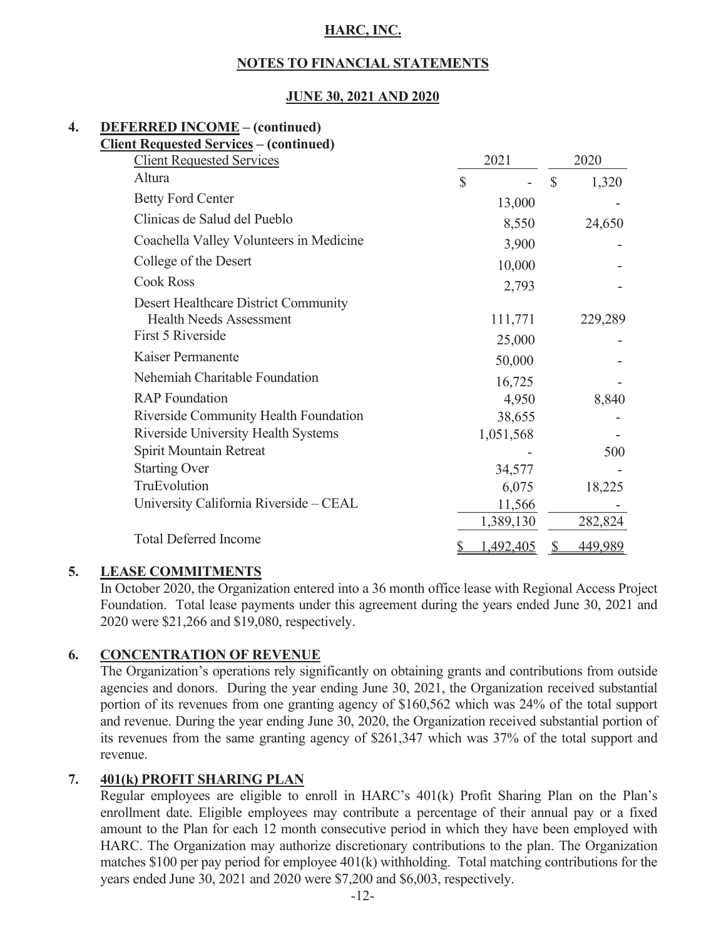# **NOTES TO FINANCIAL STATEMENTS**

# **JUNE 30, 2021 AND 2020**

# **4. DEFERRED INCOME – (continued)**

| <b>Client Requested Services - (continued)</b> |              |           |               |         |
|------------------------------------------------|--------------|-----------|---------------|---------|
| <b>Client Requested Services</b>               |              | 2021      |               | 2020    |
| Altura                                         | $\mathbb{S}$ |           | $\mathcal{S}$ | 1,320   |
| <b>Betty Ford Center</b>                       |              | 13,000    |               |         |
| Clinicas de Salud del Pueblo                   |              | 8,550     |               | 24,650  |
| Coachella Valley Volunteers in Medicine        |              | 3,900     |               |         |
| College of the Desert                          |              | 10,000    |               |         |
| <b>Cook Ross</b>                               |              | 2,793     |               |         |
| Desert Healthcare District Community           |              |           |               |         |
| <b>Health Needs Assessment</b>                 |              | 111,771   |               | 229,289 |
| First 5 Riverside                              |              | 25,000    |               |         |
| Kaiser Permanente                              |              | 50,000    |               |         |
| Nehemiah Charitable Foundation                 |              | 16,725    |               |         |
| <b>RAP</b> Foundation                          |              | 4,950     |               | 8,840   |
| Riverside Community Health Foundation          |              | 38,655    |               |         |
| Riverside University Health Systems            |              | 1,051,568 |               |         |
| Spirit Mountain Retreat                        |              |           |               | 500     |
| <b>Starting Over</b>                           |              | 34,577    |               |         |
| TruEvolution                                   |              | 6,075     |               | 18,225  |
| University California Riverside - CEAL         |              | 11,566    |               |         |
|                                                |              | 1,389,130 |               | 282,824 |
| <b>Total Deferred Income</b>                   |              | 1,492,405 |               | 449,989 |

# **5. LEASE COMMITMENTS**

In October 2020, the Organization entered into a 36 month office lease with Regional Access Project Foundation. Total lease payments under this agreement during the years ended June 30, 2021 and 2020 were \$21,266 and \$19,080, respectively.

# **6. CONCENTRATION OF REVENUE**

 The Organization's operations rely significantly on obtaining grants and contributions from outside agencies and donors. During the year ending June 30, 2021, the Organization received substantial portion of its revenues from one granting agency of \$160,562 which was 24% of the total support and revenue. During the year ending June 30, 2020, the Organization received substantial portion of its revenues from the same granting agency of \$261,347 which was 37% of the total support and revenue.

# **7. 401(k) PROFIT SHARING PLAN**

 Regular employees are eligible to enroll in HARC's 401(k) Profit Sharing Plan on the Plan's enrollment date. Eligible employees may contribute a percentage of their annual pay or a fixed amount to the Plan for each 12 month consecutive period in which they have been employed with HARC. The Organization may authorize discretionary contributions to the plan. The Organization matches \$100 per pay period for employee 401(k) withholding. Total matching contributions for the years ended June 30, 2021 and 2020 were \$7,200 and \$6,003, respectively.